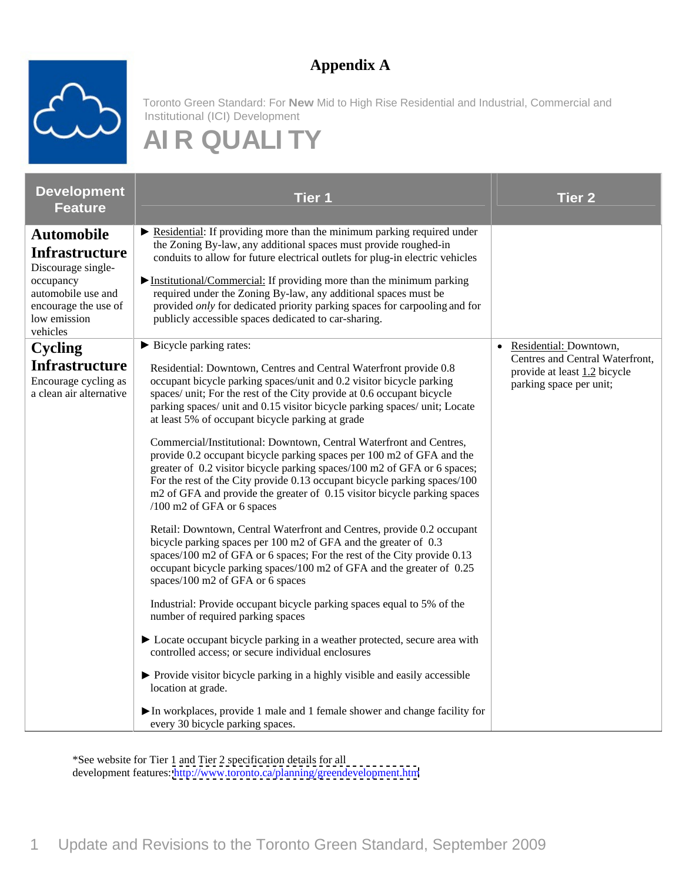#### **Appendix A**



Toronto Green Standard: For **New** Mid to High Rise Residential and Industrial, Commercial and Institutional (ICI) Development

#### **AI R QUALI TY**

| <b>Development</b><br><b>Feature</b>                                                                                                                    | <b>Tier 1</b>                                                                                                                                                                                                                                                                                                                                                                                                                                                                                                                                                                                                                                                                                                                                                                                                                                                                                                                                                                                                                                                                                                                                                                                                                                                                                                                                                                                                                                                                                                                                                                                                    | <b>Tier 2</b>                                                                                                          |
|---------------------------------------------------------------------------------------------------------------------------------------------------------|------------------------------------------------------------------------------------------------------------------------------------------------------------------------------------------------------------------------------------------------------------------------------------------------------------------------------------------------------------------------------------------------------------------------------------------------------------------------------------------------------------------------------------------------------------------------------------------------------------------------------------------------------------------------------------------------------------------------------------------------------------------------------------------------------------------------------------------------------------------------------------------------------------------------------------------------------------------------------------------------------------------------------------------------------------------------------------------------------------------------------------------------------------------------------------------------------------------------------------------------------------------------------------------------------------------------------------------------------------------------------------------------------------------------------------------------------------------------------------------------------------------------------------------------------------------------------------------------------------------|------------------------------------------------------------------------------------------------------------------------|
| <b>Automobile</b><br><b>Infrastructure</b><br>Discourage single-<br>occupancy<br>automobile use and<br>encourage the use of<br>low emission<br>vehicles | $\triangleright$ Residential: If providing more than the minimum parking required under<br>the Zoning By-law, any additional spaces must provide roughed-in<br>conduits to allow for future electrical outlets for plug-in electric vehicles<br>$\triangleright$ Institutional/Commercial: If providing more than the minimum parking<br>required under the Zoning By-law, any additional spaces must be<br>provided only for dedicated priority parking spaces for carpooling and for<br>publicly accessible spaces dedicated to car-sharing.                                                                                                                                                                                                                                                                                                                                                                                                                                                                                                                                                                                                                                                                                                                                                                                                                                                                                                                                                                                                                                                                   |                                                                                                                        |
| Cycling<br><b>Infrastructure</b><br>Encourage cycling as<br>a clean air alternative                                                                     | Bicycle parking rates:<br>Residential: Downtown, Centres and Central Waterfront provide 0.8<br>occupant bicycle parking spaces/unit and 0.2 visitor bicycle parking<br>spaces/ unit; For the rest of the City provide at 0.6 occupant bicycle<br>parking spaces/ unit and 0.15 visitor bicycle parking spaces/ unit; Locate<br>at least 5% of occupant bicycle parking at grade<br>Commercial/Institutional: Downtown, Central Waterfront and Centres,<br>provide 0.2 occupant bicycle parking spaces per 100 m2 of GFA and the<br>greater of 0.2 visitor bicycle parking spaces/100 m2 of GFA or 6 spaces;<br>For the rest of the City provide 0.13 occupant bicycle parking spaces/100<br>m2 of GFA and provide the greater of 0.15 visitor bicycle parking spaces<br>/100 m2 of GFA or 6 spaces<br>Retail: Downtown, Central Waterfront and Centres, provide 0.2 occupant<br>bicycle parking spaces per 100 m2 of GFA and the greater of 0.3<br>spaces/100 m2 of GFA or 6 spaces; For the rest of the City provide 0.13<br>occupant bicycle parking spaces/100 m2 of GFA and the greater of 0.25<br>spaces/100 m2 of GFA or 6 spaces<br>Industrial: Provide occupant bicycle parking spaces equal to 5% of the<br>number of required parking spaces<br>▶ Locate occupant bicycle parking in a weather protected, secure area with<br>controlled access; or secure individual enclosures<br>▶ Provide visitor bicycle parking in a highly visible and easily accessible<br>location at grade.<br>In workplaces, provide 1 male and 1 female shower and change facility for<br>every 30 bicycle parking spaces. | • Residential: Downtown,<br>Centres and Central Waterfront,<br>provide at least 1.2 bicycle<br>parking space per unit; |

\*See website for Tier 1 and Tier 2 specification details for all development features:<http://www.toronto.ca/planning/greendevelopment.htm>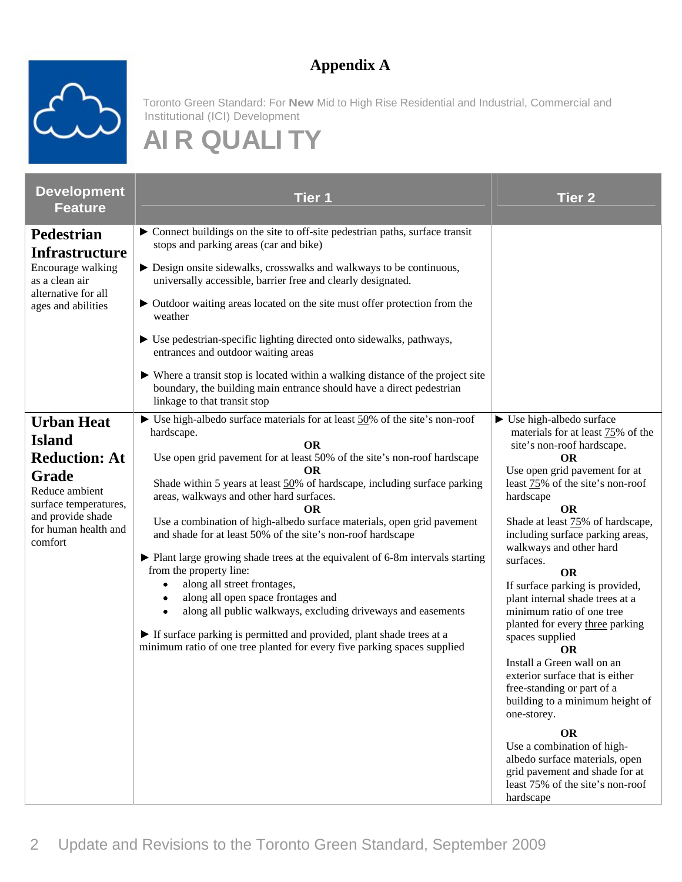#### **Appendix A**



Toronto Green Standard: For **New** Mid to High Rise Residential and Industrial, Commercial and Institutional (ICI) Development

## **AI R QUALI TY**

| <b>Development</b>                  | Tier 1                                                                                                                                                  | <b>Tier 2</b>                                                    |
|-------------------------------------|---------------------------------------------------------------------------------------------------------------------------------------------------------|------------------------------------------------------------------|
| <b>Feature</b>                      |                                                                                                                                                         |                                                                  |
| Pedestrian                          | • Connect buildings on the site to off-site pedestrian paths, surface transit<br>stops and parking areas (car and bike)                                 |                                                                  |
| <b>Infrastructure</b>               |                                                                                                                                                         |                                                                  |
| Encourage walking<br>as a clean air | $\triangleright$ Design onsite sidewalks, crosswalks and walkways to be continuous,<br>universally accessible, barrier free and clearly designated.     |                                                                  |
| alternative for all                 |                                                                                                                                                         |                                                                  |
| ages and abilities                  | • Outdoor waiting areas located on the site must offer protection from the<br>weather                                                                   |                                                                  |
|                                     |                                                                                                                                                         |                                                                  |
|                                     | ▶ Use pedestrian-specific lighting directed onto sidewalks, pathways,<br>entrances and outdoor waiting areas                                            |                                                                  |
|                                     |                                                                                                                                                         |                                                                  |
|                                     | ▶ Where a transit stop is located within a walking distance of the project site<br>boundary, the building main entrance should have a direct pedestrian |                                                                  |
|                                     | linkage to that transit stop                                                                                                                            |                                                                  |
| <b>Urban Heat</b>                   | $\triangleright$ Use high-albedo surface materials for at least $50\%$ of the site's non-roof                                                           | $\triangleright$ Use high-albedo surface                         |
| <b>Island</b>                       | hardscape.                                                                                                                                              | materials for at least 75% of the                                |
| <b>Reduction: At</b>                | Use open grid pavement for at least 50% of the site's non-roof hardscape                                                                                | site's non-roof hardscape.<br><b>OR</b>                          |
|                                     | - OR                                                                                                                                                    | Use open grid pavement for at                                    |
| Grade<br>Reduce ambient             | Shade within 5 years at least 50% of hardscape, including surface parking                                                                               | least $\frac{75}{%}$ of the site's non-roof                      |
| surface temperatures,               | areas, walkways and other hard surfaces.<br>OR.                                                                                                         | hardscape<br><b>OR</b>                                           |
| and provide shade                   | Use a combination of high-albedo surface materials, open grid pavement                                                                                  | Shade at least 75% of hardscape,                                 |
| for human health and<br>comfort     | and shade for at least 50% of the site's non-roof hardscape                                                                                             | including surface parking areas,                                 |
|                                     | ▶ Plant large growing shade trees at the equivalent of 6-8m intervals starting                                                                          | walkways and other hard                                          |
|                                     | from the property line:                                                                                                                                 | surfaces.<br><b>OR</b>                                           |
|                                     | • along all street frontages,                                                                                                                           | If surface parking is provided,                                  |
|                                     | • along all open space frontages and                                                                                                                    | plant internal shade trees at a                                  |
|                                     | • along all public walkways, excluding driveways and easements                                                                                          | minimum ratio of one tree                                        |
|                                     | If surface parking is permitted and provided, plant shade trees at a                                                                                    | planted for every three parking<br>spaces supplied               |
|                                     | minimum ratio of one tree planted for every five parking spaces supplied                                                                                | OR                                                               |
|                                     |                                                                                                                                                         | Install a Green wall on an                                       |
|                                     |                                                                                                                                                         | exterior surface that is either<br>free-standing or part of a    |
|                                     |                                                                                                                                                         | building to a minimum height of                                  |
|                                     |                                                                                                                                                         | one-storey.                                                      |
|                                     |                                                                                                                                                         | OR                                                               |
|                                     |                                                                                                                                                         | Use a combination of high-                                       |
|                                     |                                                                                                                                                         | albedo surface materials, open<br>grid pavement and shade for at |
|                                     |                                                                                                                                                         | least 75% of the site's non-roof                                 |
|                                     |                                                                                                                                                         | hardscape                                                        |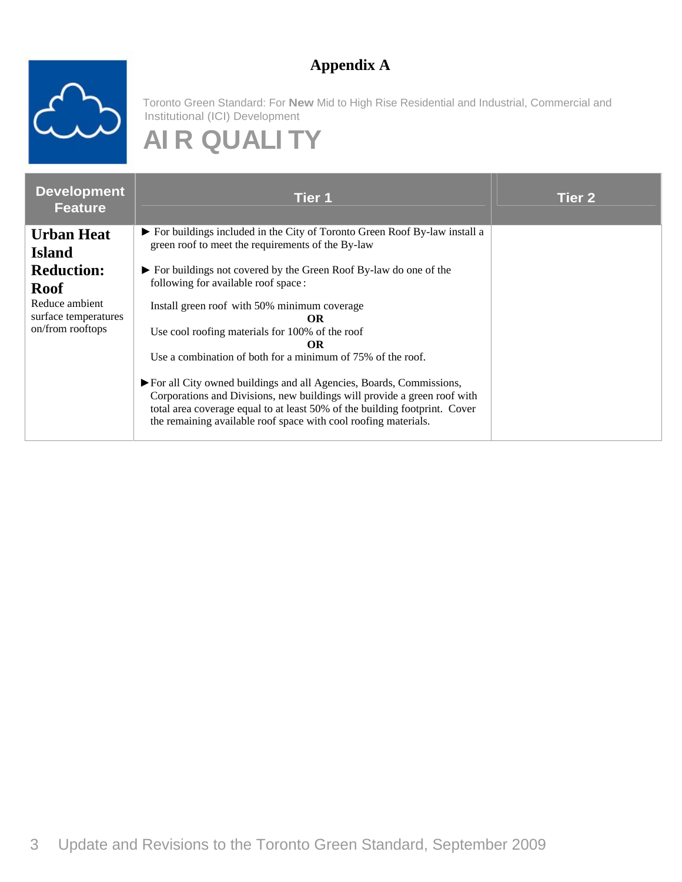#### **Appendix A**



Toronto Green Standard: For **New** Mid to High Rise Residential and Industrial, Commercial and Institutional (ICI) Development

## **AI R QUALI TY**

| Development<br><b>Feature</b>                              | Tier 1                                                                                                                                                                                                                                                                                           | <b>Tier 2</b> |
|------------------------------------------------------------|--------------------------------------------------------------------------------------------------------------------------------------------------------------------------------------------------------------------------------------------------------------------------------------------------|---------------|
| <b>Urban Heat</b><br><b>Island</b>                         | For buildings included in the City of Toronto Green Roof By-law install a<br>green roof to meet the requirements of the By-law                                                                                                                                                                   |               |
| <b>Reduction:</b><br><b>Roof</b>                           | For buildings not covered by the Green Roof By-law do one of the<br>following for available roof space:                                                                                                                                                                                          |               |
| Reduce ambient<br>surface temperatures<br>on/from rooftops | Install green roof with 50% minimum coverage<br><b>OR</b><br>Use cool roofing materials for 100% of the roof<br>OR.<br>Use a combination of both for a minimum of 75% of the roof.                                                                                                               |               |
|                                                            | For all City owned buildings and all Agencies, Boards, Commissions,<br>Corporations and Divisions, new buildings will provide a green roof with<br>total area coverage equal to at least 50% of the building footprint. Cover<br>the remaining available roof space with cool roofing materials. |               |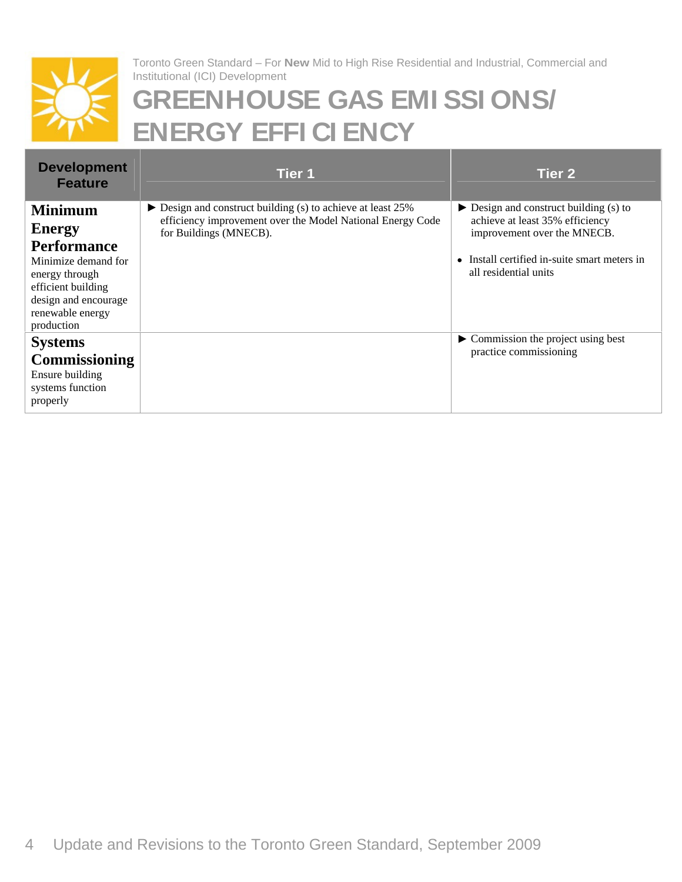

# **GREENHOUSE GAS EMI SSI ONS/ ENERGY EFFI CI ENCY**

| <b>Development</b>                   |                                                                                      |                                                                |
|--------------------------------------|--------------------------------------------------------------------------------------|----------------------------------------------------------------|
| Feature                              | Tier 1                                                                               | Tier 2                                                         |
|                                      | Design and construct building (s) to achieve at least 25%                            | $\blacktriangleright$ Design and construct building (s) to     |
| <b>Minimum</b>                       | efficiency improvement over the Model National Energy Code<br>for Buildings (MNECB). | achieve at least 35% efficiency<br>improvement over the MNECB. |
| <b>Energy</b>                        |                                                                                      |                                                                |
| Performance<br>Minimize demand for   |                                                                                      | • Install certified in-suite smart meters in                   |
| energy through<br>efficient building |                                                                                      | all residential units                                          |
|                                      |                                                                                      |                                                                |
| design and encourage                 |                                                                                      |                                                                |
| renewable energy<br>production       |                                                                                      |                                                                |
| <b>Systems</b>                       |                                                                                      | Commission the project using best<br>practice commissioning    |
| <b>Commissioning</b>                 |                                                                                      |                                                                |
| Ensure building<br>systems function  |                                                                                      |                                                                |
| properly                             |                                                                                      |                                                                |
|                                      |                                                                                      |                                                                |
|                                      |                                                                                      |                                                                |
|                                      |                                                                                      |                                                                |
|                                      |                                                                                      |                                                                |
|                                      |                                                                                      |                                                                |
|                                      |                                                                                      |                                                                |
|                                      |                                                                                      |                                                                |
|                                      |                                                                                      |                                                                |
|                                      |                                                                                      |                                                                |
|                                      |                                                                                      |                                                                |
|                                      |                                                                                      |                                                                |
|                                      |                                                                                      |                                                                |
|                                      |                                                                                      |                                                                |
|                                      |                                                                                      |                                                                |
|                                      |                                                                                      |                                                                |
|                                      |                                                                                      |                                                                |
|                                      |                                                                                      |                                                                |
|                                      |                                                                                      |                                                                |
|                                      |                                                                                      |                                                                |
|                                      |                                                                                      |                                                                |
|                                      |                                                                                      |                                                                |
|                                      |                                                                                      |                                                                |
|                                      |                                                                                      |                                                                |
|                                      |                                                                                      |                                                                |
|                                      | 4 Update and Revisions to the Toronto Green Standard, September 2009                 |                                                                |
|                                      |                                                                                      |                                                                |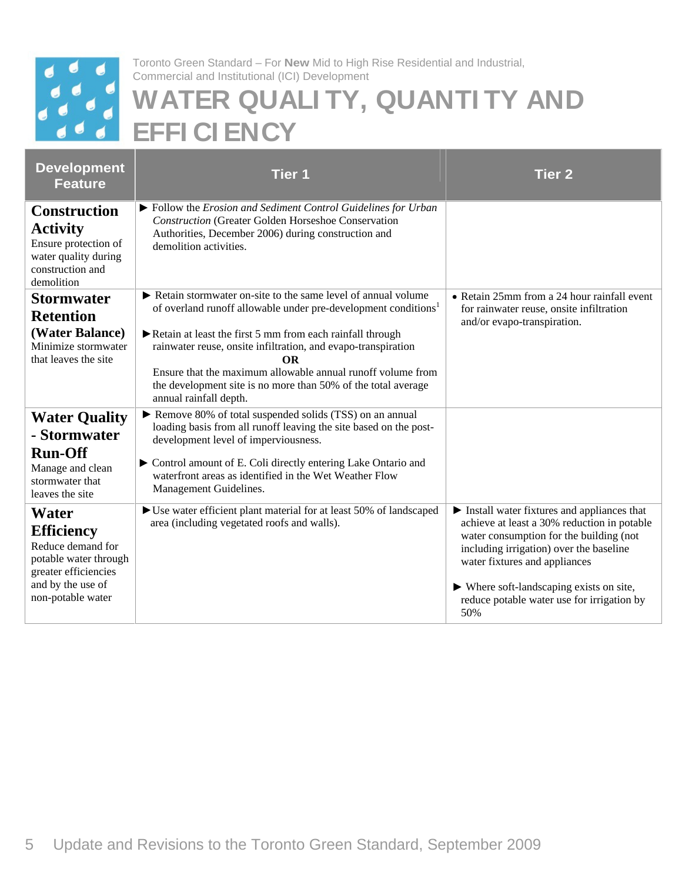

# **WATER QUALI TY, QUANTI TY AND EFFI CI ENCY**

| <b>Development</b><br><b>Feature</b>                                                                                                       | Tier 1                                                                                                                                                                                                                                                                                                                                                                                                                                                    | <b>Tier 2</b>                                                                                                                                                                                                                                                                                                                         |
|--------------------------------------------------------------------------------------------------------------------------------------------|-----------------------------------------------------------------------------------------------------------------------------------------------------------------------------------------------------------------------------------------------------------------------------------------------------------------------------------------------------------------------------------------------------------------------------------------------------------|---------------------------------------------------------------------------------------------------------------------------------------------------------------------------------------------------------------------------------------------------------------------------------------------------------------------------------------|
| <b>Construction</b><br><b>Activity</b><br>Ensure protection of<br>water quality during<br>construction and<br>demolition                   | $\triangleright$ Follow the Erosion and Sediment Control Guidelines for Urban<br><b>Construction (Greater Golden Horseshoe Conservation</b><br>Authorities, December 2006) during construction and<br>demolition activities.                                                                                                                                                                                                                              |                                                                                                                                                                                                                                                                                                                                       |
| <b>Stormwater</b><br><b>Retention</b><br>(Water Balance)<br>Minimize stormwater<br>that leaves the site                                    | Retain stormwater on-site to the same level of annual volume<br>of overland runoff allowable under pre-development conditions <sup>1</sup><br>$\triangleright$ Retain at least the first 5 mm from each rainfall through<br>rainwater reuse, onsite infiltration, and evapo-transpiration<br>OR<br>Ensure that the maximum allowable annual runoff volume from<br>the development site is no more than 50% of the total average<br>annual rainfall depth. | • Retain 25mm from a 24 hour rainfall event<br>for rainwater reuse, onsite infiltration<br>and/or evapo-transpiration.                                                                                                                                                                                                                |
| <b>Water Quality</b><br>- Stormwater<br><b>Run-Off</b><br>Manage and clean<br>stormwater that<br>leaves the site                           | Remove 80% of total suspended solids (TSS) on an annual<br>loading basis from all runoff leaving the site based on the post-<br>development level of imperviousness.<br>$\triangleright$ Control amount of E. Coli directly entering Lake Ontario and<br>waterfront areas as identified in the Wet Weather Flow<br>Management Guidelines.                                                                                                                 |                                                                                                                                                                                                                                                                                                                                       |
| Water<br><b>Efficiency</b><br>Reduce demand for<br>potable water through<br>greater efficiencies<br>and by the use of<br>non-potable water | Use water efficient plant material for at least 50% of landscaped<br>area (including vegetated roofs and walls).                                                                                                                                                                                                                                                                                                                                          | Install water fixtures and appliances that<br>achieve at least a 30% reduction in potable<br>water consumption for the building (not<br>including irrigation) over the baseline<br>water fixtures and appliances<br>$\blacktriangleright$ Where soft-landscaping exists on site,<br>reduce potable water use for irrigation by<br>50% |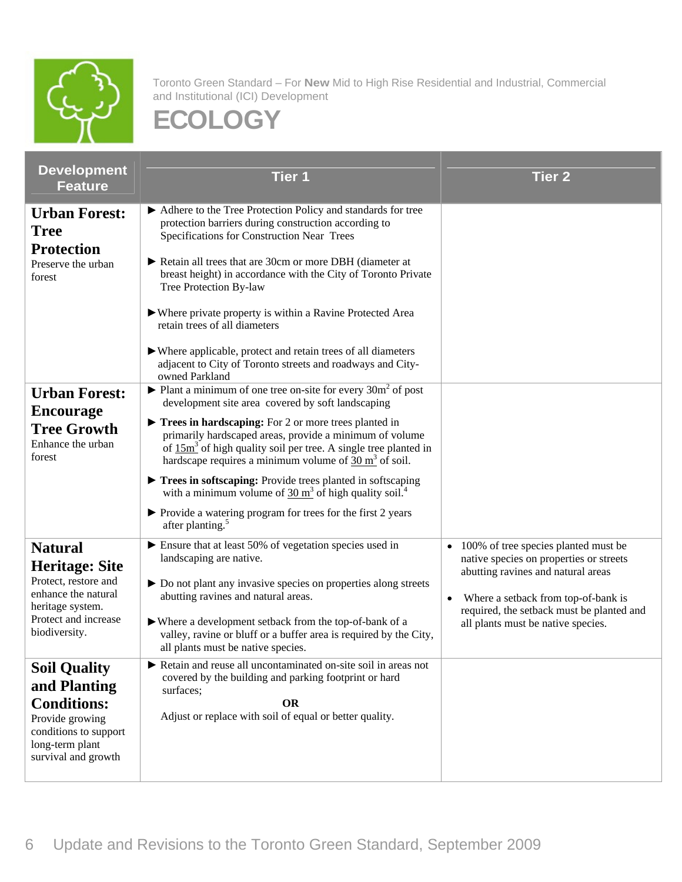

| <b>Development</b><br><b>Feature</b>                                                                              | Tier 1                                                                                                                                                                                                                                                                          | Tier 2                                                                                                                   |
|-------------------------------------------------------------------------------------------------------------------|---------------------------------------------------------------------------------------------------------------------------------------------------------------------------------------------------------------------------------------------------------------------------------|--------------------------------------------------------------------------------------------------------------------------|
| <b>Urban Forest:</b><br><b>Tree</b><br><b>Protection</b>                                                          | Adhere to the Tree Protection Policy and standards for tree<br>protection barriers during construction according to<br>Specifications for Construction Near Trees<br>Retain all trees that are 30cm or more DBH (diameter at                                                    |                                                                                                                          |
| Preserve the urban<br>forest                                                                                      | breast height) in accordance with the City of Toronto Private<br>Tree Protection By-law                                                                                                                                                                                         |                                                                                                                          |
|                                                                                                                   | ▶ Where private property is within a Ravine Protected Area<br>retain trees of all diameters                                                                                                                                                                                     |                                                                                                                          |
|                                                                                                                   | ▶ Where applicable, protect and retain trees of all diameters<br>adjacent to City of Toronto streets and roadways and City-<br>owned Parkland                                                                                                                                   |                                                                                                                          |
| <b>Urban Forest:</b><br><b>Encourage</b>                                                                          | $\triangleright$ Plant a minimum of one tree on-site for every 30 $m^2$ of post<br>development site area covered by soft landscaping                                                                                                                                            |                                                                                                                          |
| <b>Tree Growth</b><br>Enhance the urban<br>forest                                                                 | $\blacktriangleright$ Trees in hardscaping: For 2 or more trees planted in<br>primarily hardscaped areas, provide a minimum of volume<br>of $15m^3$ of high quality soil per tree. A single tree planted in<br>hardscape requires a minimum volume of $30 \text{ m}^3$ of soil. |                                                                                                                          |
|                                                                                                                   | Trees in softscaping: Provide trees planted in softscaping<br>with a minimum volume of $30 \text{ m}^3$ of high quality soil. <sup>4</sup>                                                                                                                                      |                                                                                                                          |
|                                                                                                                   | ▶ Provide a watering program for trees for the first 2 years<br>after planting. <sup>5</sup>                                                                                                                                                                                    |                                                                                                                          |
| <b>Natural</b><br><b>Heritage: Site</b><br>Protect, restore and<br>enhance the natural                            | $\blacktriangleright$ Ensure that at least 50% of vegetation species used in<br>landscaping are native.<br>▶ Do not plant any invasive species on properties along streets<br>abutting ravines and natural areas.                                                               | • 100% of tree species planted must be<br>native species on properties or streets<br>abutting ravines and natural areas  |
| heritage system.<br>Protect and increase<br>biodiversity.                                                         | ▶ Where a development setback from the top-of-bank of a<br>valley, ravine or bluff or a buffer area is required by the City,<br>all plants must be native species.                                                                                                              | • Where a setback from top-of-bank is<br>required, the setback must be planted and<br>all plants must be native species. |
| <b>Soil Quality</b><br>and Planting                                                                               | Retain and reuse all uncontaminated on-site soil in areas not<br>covered by the building and parking footprint or hard<br>surfaces;<br>OR                                                                                                                                       |                                                                                                                          |
| <b>Conditions:</b><br>Provide growing<br>$\alpha$ conditions to support<br>long-term plant<br>survival and growth | Adjust or replace with soil of equal or better quality.                                                                                                                                                                                                                         |                                                                                                                          |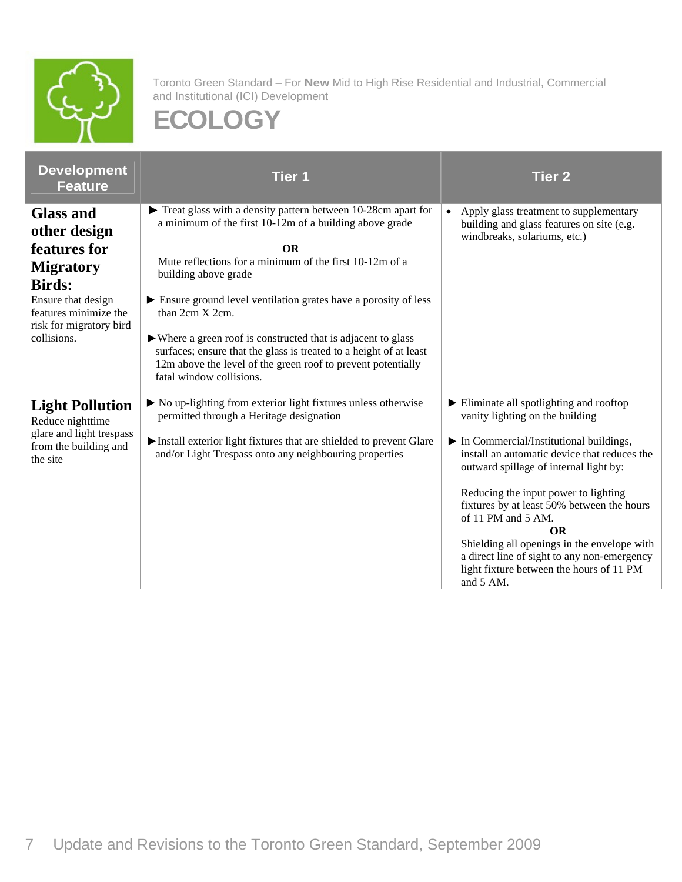

| <b>Development</b><br>Feature                                          | <b>Tier 1</b>                                                                                                                                                                                                                   | <b>Tier 2</b>                                                                                                                                                  |
|------------------------------------------------------------------------|---------------------------------------------------------------------------------------------------------------------------------------------------------------------------------------------------------------------------------|----------------------------------------------------------------------------------------------------------------------------------------------------------------|
| <b>Glass and</b><br>other design<br>features for<br><b>Migratory</b>   | Treat glass with a density pattern between 10-28cm apart for<br>a minimum of the first 10-12m of a building above grade<br>OR<br>Mute reflections for a minimum of the first 10-12m of a                                        | • Apply glass treatment to supplementary<br>building and glass features on site (e.g.<br>windbreaks, solariums, etc.)                                          |
| <b>Birds:</b><br>Ensure that design<br>features minimize the           | building above grade<br>Ensure ground level ventilation grates have a porosity of less<br>than 2cm X 2cm.                                                                                                                       |                                                                                                                                                                |
| risk for migratory bird<br>collisions.                                 | ► Where a green roof is constructed that is adjacent to glass<br>surfaces; ensure that the glass is treated to a height of at least<br>12m above the level of the green roof to prevent potentially<br>fatal window collisions. |                                                                                                                                                                |
| <b>Light Pollution</b><br>Reduce nighttime<br>glare and light trespass | $\triangleright$ No up-lighting from exterior light fixtures unless otherwise<br>permitted through a Heritage designation<br>Install exterior light fixtures that are shielded to prevent Glare                                 | Eliminate all spotlighting and rooftop<br>vanity lighting on the building<br>$\blacktriangleright$ In Commercial/Institutional buildings,                      |
| from the building and<br>the site                                      | and/or Light Trespass onto any neighbouring properties                                                                                                                                                                          | install an automatic device that reduces the<br>outward spillage of internal light by:<br>Reducing the input power to lighting                                 |
|                                                                        |                                                                                                                                                                                                                                 | fixtures by at least 50% between the hours<br>of 11 PM and 5 AM.<br>Shielding all openings in the envelope with<br>a direct line of sight to any non-emergency |
|                                                                        |                                                                                                                                                                                                                                 | light fixture between the hours of 11 PM<br>and 5 AM.                                                                                                          |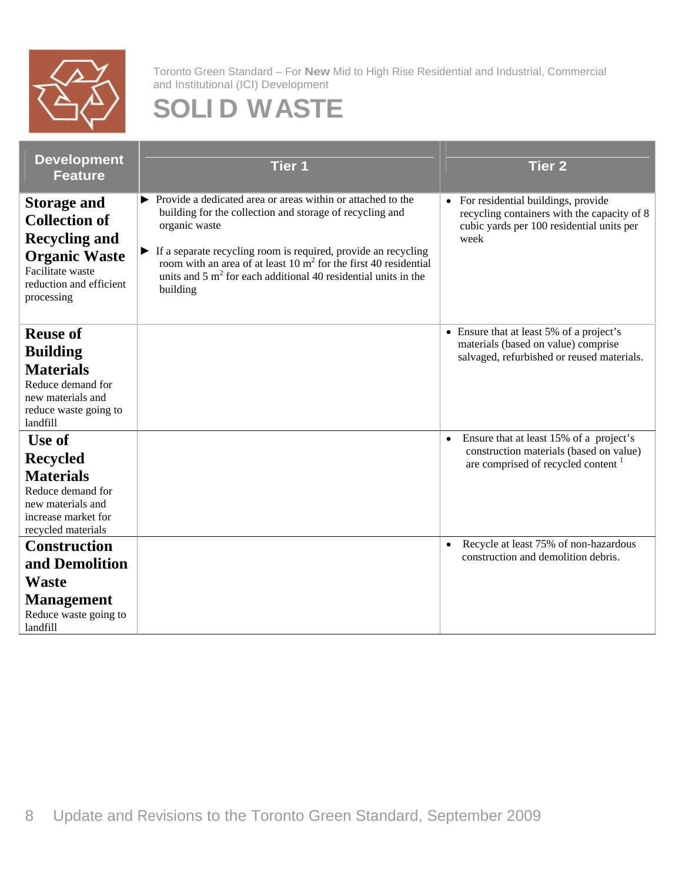

### **SOLI D WASTE**

| <b>Development</b><br><b>Feature</b>                                                                                                                         | <b>Tier 1</b>                                                                                                                                                                                                                                                                                                                                                                                       | Tier 2                                                                                                                                   |
|--------------------------------------------------------------------------------------------------------------------------------------------------------------|-----------------------------------------------------------------------------------------------------------------------------------------------------------------------------------------------------------------------------------------------------------------------------------------------------------------------------------------------------------------------------------------------------|------------------------------------------------------------------------------------------------------------------------------------------|
| $\parallel$ Storage and<br><b>Collection of</b><br><b>Recycling and</b><br><b>Organic Waste</b><br>Facilitate waste<br>reduction and efficient<br>processing | $\triangleright$ Provide a dedicated area or areas within or attached to the<br>building for the collection and storage of recycling and<br>organic waste<br>If a separate recycling room is required, provide an recycling<br>room with an area of at least $10 \text{ m}^2$ for the first 40 residential<br>units and $5 \text{ m}^2$ for each additional 40 residential units in the<br>building | • For residential buildings, provide<br>recycling containers with the capacity of 8<br>cubic yards per 100 residential units per<br>week |
| <b>Reuse of</b><br><b>Building</b><br><b>Materials</b><br>Reduce demand for<br>new materials and<br>reduce waste going to<br>landfill                        |                                                                                                                                                                                                                                                                                                                                                                                                     | • Ensure that at least 5% of a project's<br>materials (based on value) comprise<br>salvaged, refurbished or reused materials.            |
| Use of<br><b>Recycled</b><br><b>Materials</b><br>Reduce demand for<br>new materials and<br>increase market for<br>recycled materials                         |                                                                                                                                                                                                                                                                                                                                                                                                     | • Ensure that at least 15% of a project's<br>construction materials (based on value)<br>are comprised of recycled content <sup>1</sup>   |
| <b>Construction</b><br>and Demolition<br>Waste<br>Management<br>Reduce waste going to<br>landfill                                                            |                                                                                                                                                                                                                                                                                                                                                                                                     | • Recycle at least 75% of non-hazardous<br>construction and demolition debris.                                                           |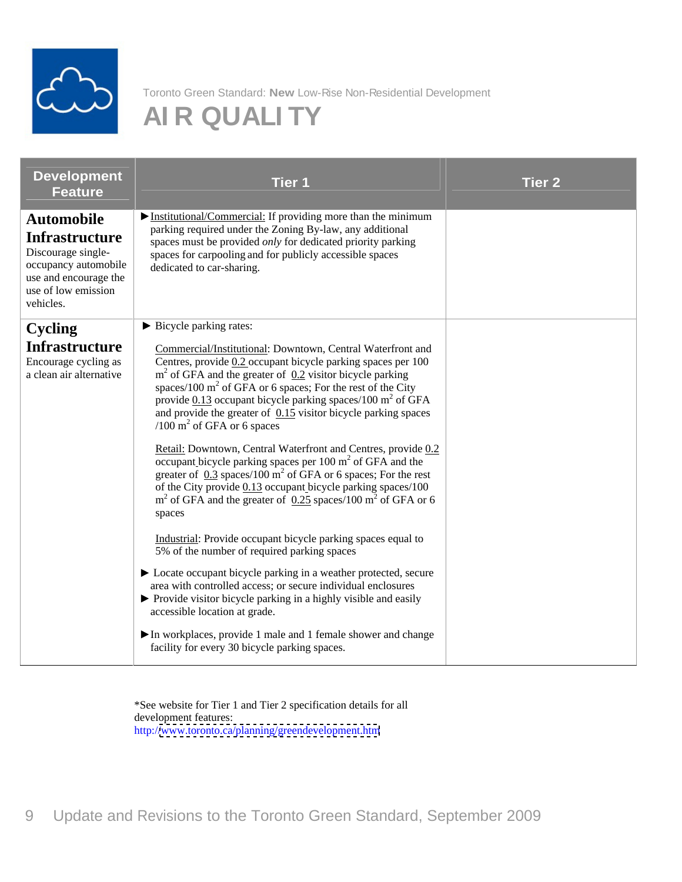

## **AI R QUALI TY**

| <b>Development</b><br>Feature                                                                                                                         | Tier <sub>1</sub>                                                                                                                                                                                                                                                                                                                                                                                                                                                                                                                                                                                                                                                                                                                                                                                                                                                                                                                                                                                                                                                                                                                                                                                                                                  | Tier 2 |
|-------------------------------------------------------------------------------------------------------------------------------------------------------|----------------------------------------------------------------------------------------------------------------------------------------------------------------------------------------------------------------------------------------------------------------------------------------------------------------------------------------------------------------------------------------------------------------------------------------------------------------------------------------------------------------------------------------------------------------------------------------------------------------------------------------------------------------------------------------------------------------------------------------------------------------------------------------------------------------------------------------------------------------------------------------------------------------------------------------------------------------------------------------------------------------------------------------------------------------------------------------------------------------------------------------------------------------------------------------------------------------------------------------------------|--------|
| <b>Automobile</b><br><b>Infrastructure</b><br>Discourage single-<br>occupancy automobile<br>use and encourage the<br>use of low emission<br>vehicles. | Institutional/Commercial: If providing more than the minimum<br>parking required under the Zoning By-law, any additional<br>spaces must be provided only for dedicated priority parking<br>spaces for carpooling and for publicly accessible spaces<br>dedicated to car-sharing.                                                                                                                                                                                                                                                                                                                                                                                                                                                                                                                                                                                                                                                                                                                                                                                                                                                                                                                                                                   |        |
| Cycling<br><b>Infrastructure</b><br>Encourage cycling as<br>a clean air alternative                                                                   | Bicycle parking rates:<br>Commercial/Institutional: Downtown, Central Waterfront and<br>Centres, provide 0.2 occupant bicycle parking spaces per 100<br>$m2$ of GFA and the greater of $0.2$ visitor bicycle parking<br>spaces/100 $m^2$ of GFA or 6 spaces; For the rest of the City<br>provide $0.13$ occupant bicycle parking spaces/100 m <sup>2</sup> of GFA<br>and provide the greater of $0.15$ visitor bicycle parking spaces<br>$(100 \text{ m}^2 \text{ of } GFA \text{ or } 6 \text{ spaces})$<br>Retail: Downtown, Central Waterfront and Centres, provide 0.2<br>occupant bicycle parking spaces per $100 \text{ m}^2$ of GFA and the<br>greater of $0.3$ spaces/100 m <sup>2</sup> of GFA or 6 spaces; For the rest<br>of the City provide 0.13 occupant bicycle parking spaces/100<br>$m2$ of GFA and the greater of $0.25$ spaces/100 m <sup>2</sup> of GFA or 6<br>spaces<br>Industrial: Provide occupant bicycle parking spaces equal to<br>5% of the number of required parking spaces<br>• Locate occupant bicycle parking in a weather protected, secure<br>area with controlled access; or secure individual enclosures<br>▶ Provide visitor bicycle parking in a highly visible and easily<br>accessible location at grade. |        |
|                                                                                                                                                       | In workplaces, provide 1 male and 1 female shower and change<br>facility for every 30 bicycle parking spaces.                                                                                                                                                                                                                                                                                                                                                                                                                                                                                                                                                                                                                                                                                                                                                                                                                                                                                                                                                                                                                                                                                                                                      |        |

\*See website for Tier 1 and Tier 2 specification details for all development features: http:/[/www.toronto.ca/planning/greendevelopment.htm](http://www.toronto.ca/planning/greendevelopment.htm)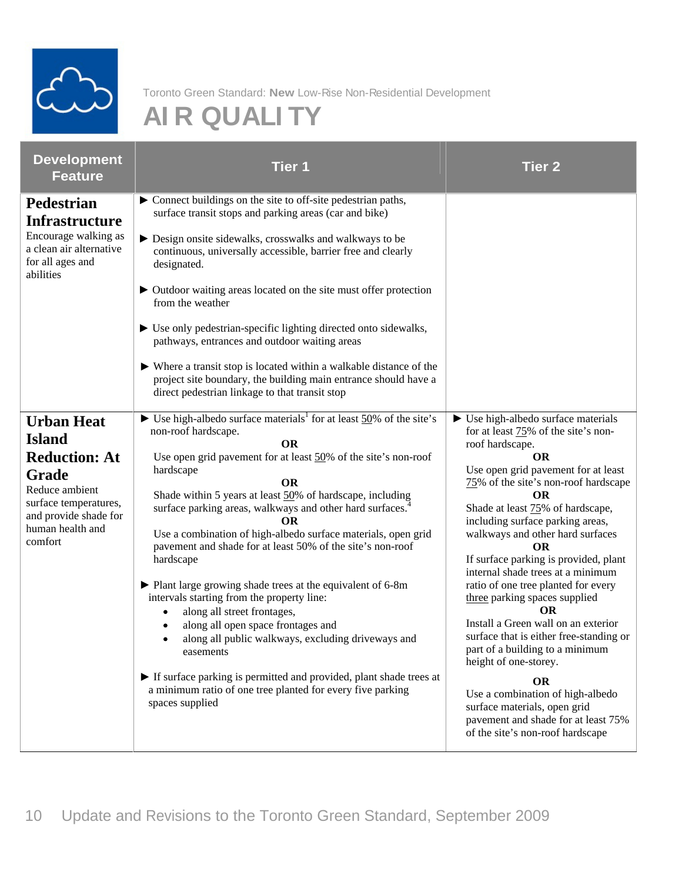

## **AI R QUALI TY**

| <b>Development</b><br><b>Feature</b>                                                                                             | Tier 1                                                                                                                                                                                                                                                                                                                                                                                                                                                                                                                                                                                                      | <b>Tier 2</b>                                                                                                                                                                                                                                                                                                                                                                                                                                                          |
|----------------------------------------------------------------------------------------------------------------------------------|-------------------------------------------------------------------------------------------------------------------------------------------------------------------------------------------------------------------------------------------------------------------------------------------------------------------------------------------------------------------------------------------------------------------------------------------------------------------------------------------------------------------------------------------------------------------------------------------------------------|------------------------------------------------------------------------------------------------------------------------------------------------------------------------------------------------------------------------------------------------------------------------------------------------------------------------------------------------------------------------------------------------------------------------------------------------------------------------|
| Pedestrian<br><b>Infrastructure</b>                                                                                              | Connect buildings on the site to off-site pedestrian paths,<br>surface transit stops and parking areas (car and bike)                                                                                                                                                                                                                                                                                                                                                                                                                                                                                       |                                                                                                                                                                                                                                                                                                                                                                                                                                                                        |
| Encourage walking as<br>a clean air alternative<br>for all ages and<br>abilities                                                 | $\triangleright$ Design onsite sidewalks, crosswalks and walkways to be<br>continuous, universally accessible, barrier free and clearly<br>designated.                                                                                                                                                                                                                                                                                                                                                                                                                                                      |                                                                                                                                                                                                                                                                                                                                                                                                                                                                        |
|                                                                                                                                  | • Outdoor waiting areas located on the site must offer protection<br>from the weather                                                                                                                                                                                                                                                                                                                                                                                                                                                                                                                       |                                                                                                                                                                                                                                                                                                                                                                                                                                                                        |
|                                                                                                                                  | ► Use only pedestrian-specific lighting directed onto sidewalks,<br>pathways, entrances and outdoor waiting areas                                                                                                                                                                                                                                                                                                                                                                                                                                                                                           |                                                                                                                                                                                                                                                                                                                                                                                                                                                                        |
|                                                                                                                                  | $\triangleright$ Where a transit stop is located within a walkable distance of the<br>project site boundary, the building main entrance should have a<br>direct pedestrian linkage to that transit stop                                                                                                                                                                                                                                                                                                                                                                                                     |                                                                                                                                                                                                                                                                                                                                                                                                                                                                        |
| <b>Urban Heat</b><br><b>Island</b>                                                                                               | $\triangleright$ Use high-albedo surface materials <sup>1</sup> for at least 50% of the site's $\triangleright$ Use high-albedo surface materials<br>non-roof hardscape.<br>OR                                                                                                                                                                                                                                                                                                                                                                                                                              | for at least $75\%$ of the site's non-                                                                                                                                                                                                                                                                                                                                                                                                                                 |
| <b>Reduction: At</b><br>Grade<br>Reduce ambient<br>surface temperatures,<br>and provide shade for<br>human health and<br>comfort | Use open grid pavement for at least 50% of the site's non-roof<br>hardscape<br>Shade within 5 years at least 50% of hardscape, including<br>surface parking areas, walkways and other hard surfaces. <sup>4</sup><br>Use a combination of high-albedo surface materials, open grid<br>pavement and shade for at least 50% of the site's non-roof<br>hardscape<br>• Plant large growing shade trees at the equivalent of 6-8m<br>intervals starting from the property line:<br>• along all street frontages,<br>• along all open space frontages and<br>· along all public walkways, excluding driveways and | roof hardscape.<br><b>OR</b><br>Use open grid pavement for at least<br>75% of the site's non-roof hardscape<br>Shade at least 75% of hardscape,<br>including surface parking areas,<br>walkways and other hard surfaces<br>If surface parking is provided, plant<br>internal shade trees at a minimum<br>ratio of one tree planted for every<br>three parking spaces supplied<br>OR.<br>Install a Green wall on an exterior<br>surface that is either free-standing or |
|                                                                                                                                  | easements<br>If surface parking is permitted and provided, plant shade trees at<br>a minimum ratio of one tree planted for every five parking<br>spaces supplied                                                                                                                                                                                                                                                                                                                                                                                                                                            | part of a building to a minimum<br>height of one-storey.<br>OR.<br>Use a combination of high-albedo<br>surface materials, open grid<br>pavement and shade for at least 75%<br>of the site's non-roof hardscape                                                                                                                                                                                                                                                         |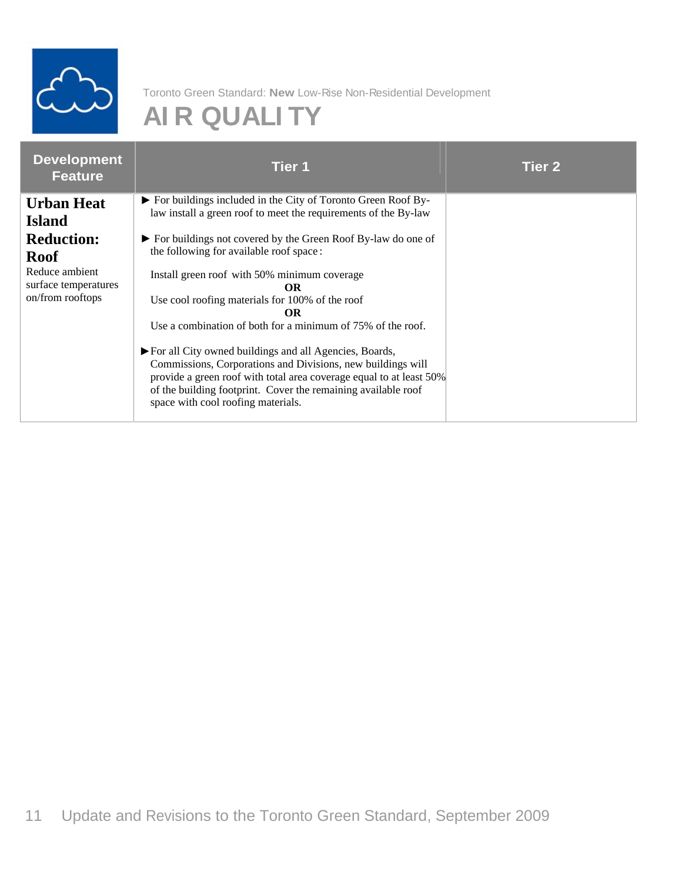

## **AI R QUALI TY**

| <b>Development</b><br>Feature                                                                                                        | <b>Tier 1</b>                                                                                                                                                                                                                                                                                                                                                                                                | <b>Tier 2</b> |
|--------------------------------------------------------------------------------------------------------------------------------------|--------------------------------------------------------------------------------------------------------------------------------------------------------------------------------------------------------------------------------------------------------------------------------------------------------------------------------------------------------------------------------------------------------------|---------------|
| <b>Urban Heat</b><br><b>Island</b><br><b>Reduction:</b><br><b>Roof</b><br>Reduce ambient<br>surface temperatures<br>on/from rooftops | For buildings included in the City of Toronto Green Roof By-<br>law install a green roof to meet the requirements of the By-law<br>For buildings not covered by the Green Roof By-law do one of<br>the following for available roof space:<br>Install green roof with 50% minimum coverage<br>Use cool roofing materials for 100% of the roof<br>Use a combination of both for a minimum of 75% of the roof. |               |
|                                                                                                                                      | For all City owned buildings and all Agencies, Boards,<br>Commissions, Corporations and Divisions, new buildings will<br>provide a green roof with total area coverage equal to at least 50%<br>of the building footprint. Cover the remaining available roof<br>space with cool roofing materials.                                                                                                          |               |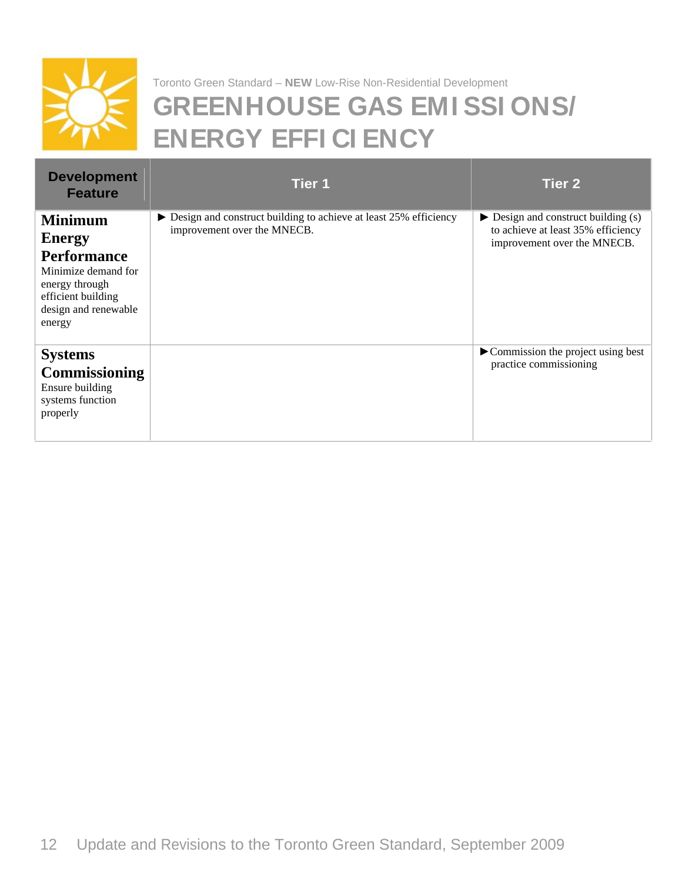

#### Toronto Green Standard – **NEW** Low-Rise Non-Residential Development **GREENHOUSE GAS EMI SSI ONS/ ENERGY EFFI CI ENCY**

| <b>Development</b><br><b>Feature</b>                                                                                                     | Tier 1                                                                                                           | Tier 2                                                                                                                  |
|------------------------------------------------------------------------------------------------------------------------------------------|------------------------------------------------------------------------------------------------------------------|-------------------------------------------------------------------------------------------------------------------------|
| Minimum<br><b>Energy</b><br>Performance<br>Minimize demand for<br>energy through<br>efficient building<br>design and renewable<br>energy | $\triangleright$ Design and construct building to achieve at least 25% efficiency<br>improvement over the MNECB. | $\triangleright$ Design and construct building (s)<br>to achieve at least 35% efficiency<br>improvement over the MNECB. |
| <b>Systems</b><br>Commissioning<br>Ensure building<br>systems function<br>properly                                                       |                                                                                                                  | $\blacktriangleright$ Commission the project using best<br>practice commissioning                                       |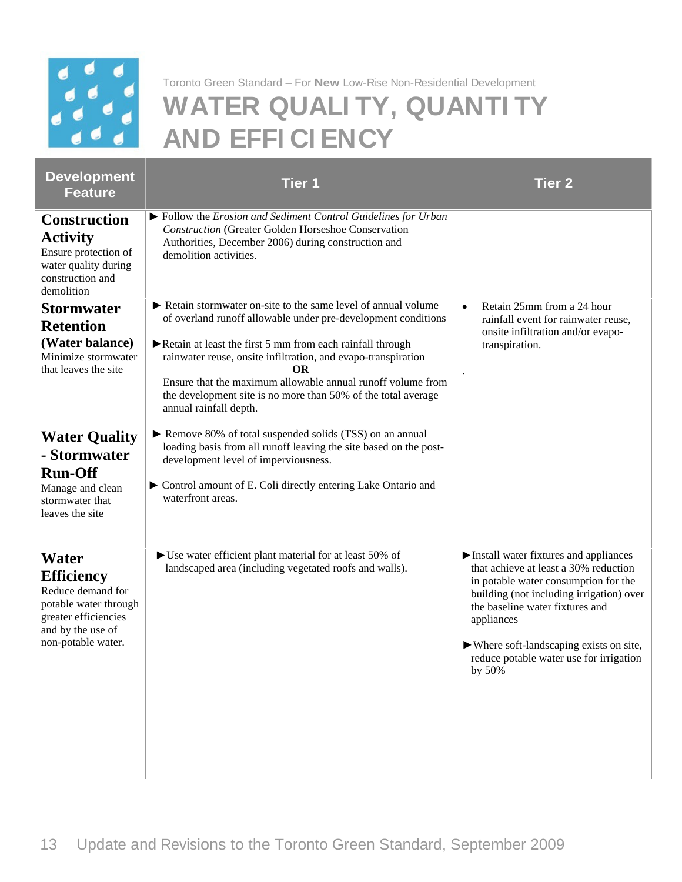

#### Toronto Green Standard – For **New** Low-Rise Non-Residential Development **WATER QUALI TY, QUANTI TY AND EFFI CI ENCY**

| <b>Development</b><br>Feature                                                                                                               | Tier 1                                                                                                                                                                                                                                                                                                                                                                                                                                              | Tier 2                                                                                                                                                                                                                                                                                                                                   |
|---------------------------------------------------------------------------------------------------------------------------------------------|-----------------------------------------------------------------------------------------------------------------------------------------------------------------------------------------------------------------------------------------------------------------------------------------------------------------------------------------------------------------------------------------------------------------------------------------------------|------------------------------------------------------------------------------------------------------------------------------------------------------------------------------------------------------------------------------------------------------------------------------------------------------------------------------------------|
| <b>Construction</b><br><b>Activity</b><br>Ensure protection of<br>water quality during<br>construction and<br>demolition                    | $\triangleright$ Follow the <i>Erosion and Sediment Control Guidelines for Urban</i><br><b>Construction (Greater Golden Horseshoe Conservation</b><br>Authorities, December 2006) during construction and<br>demolition activities.                                                                                                                                                                                                                 |                                                                                                                                                                                                                                                                                                                                          |
| <b>Stormwater</b><br><b>Retention</b><br>(Water balance)<br>Minimize stormwater<br>that leaves the site                                     | Retain stormwater on-site to the same level of annual volume<br>of overland runoff allowable under pre-development conditions<br>$\triangleright$ Retain at least the first 5 mm from each rainfall through<br>rainwater reuse, onsite infiltration, and evapo-transpiration<br><b>OR</b><br>Ensure that the maximum allowable annual runoff volume from<br>the development site is no more than 50% of the total average<br>annual rainfall depth. | Retain 25mm from a 24 hour<br>rainfall event for rainwater reuse,<br>onsite infiltration and/or evapo-<br>transpiration.                                                                                                                                                                                                                 |
| $\parallel$ Water Quality<br>- Stormwater<br><b>Run-Off</b><br>Manage and clean<br>stormwater that<br>leaves the site                       | Remove 80% of total suspended solids (TSS) on an annual<br>loading basis from all runoff leaving the site based on the post-<br>development level of imperviousness.<br>► Control amount of E. Coli directly entering Lake Ontario and<br>waterfront areas.                                                                                                                                                                                         |                                                                                                                                                                                                                                                                                                                                          |
| Water<br><b>Efficiency</b><br>Reduce demand for<br>potable water through<br>greater efficiencies<br>and by the use of<br>non-potable water. | $\blacktriangleright$ Use water efficient plant material for at least 50% of<br>landscaped area (including vegetated roofs and walls).                                                                                                                                                                                                                                                                                                              | Install water fixtures and appliances<br>that achieve at least a 30% reduction<br>in potable water consumption for the<br>building (not including irrigation) over<br>the baseline water fixtures and<br>appliances<br>$\blacktriangleright$ Where soft-landscaping exists on site,<br>reduce potable water use for irrigation<br>by 50% |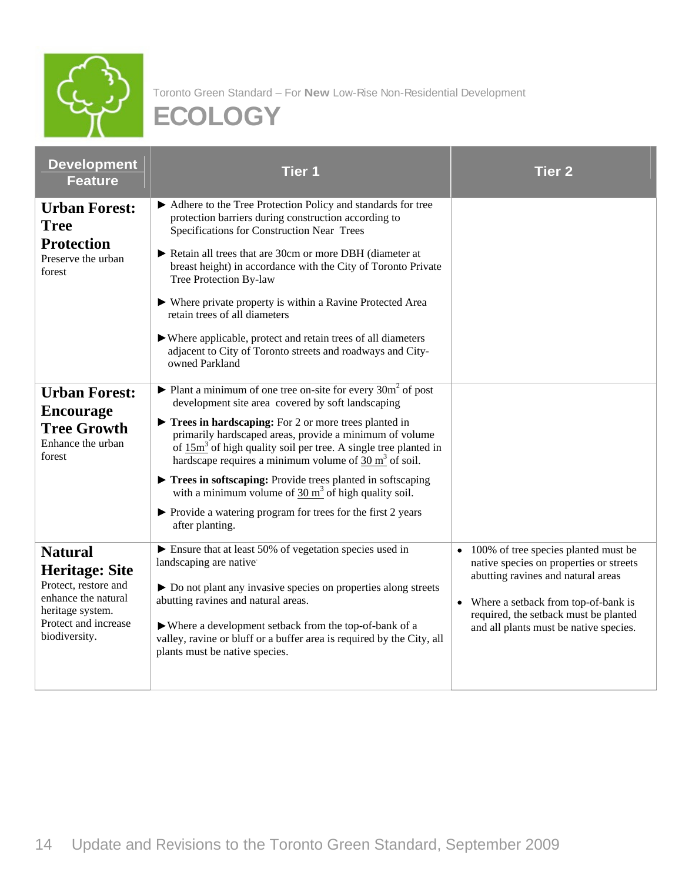

| <b>Development</b><br>Feature                                   | Tier 1                                                                                                                                                                                                                                                                          | Tier 2                                                                                                                          |
|-----------------------------------------------------------------|---------------------------------------------------------------------------------------------------------------------------------------------------------------------------------------------------------------------------------------------------------------------------------|---------------------------------------------------------------------------------------------------------------------------------|
| <b>Urban Forest:</b><br><b>Tree</b><br>Protection               | Adhere to the Tree Protection Policy and standards for tree<br>protection barriers during construction according to<br>Specifications for Construction Near Trees                                                                                                               |                                                                                                                                 |
| Preserve the urban<br>forest                                    | Retain all trees that are 30cm or more DBH (diameter at<br>breast height) in accordance with the City of Toronto Private<br>Tree Protection By-law                                                                                                                              |                                                                                                                                 |
|                                                                 | ▶ Where private property is within a Ravine Protected Area<br>retain trees of all diameters                                                                                                                                                                                     |                                                                                                                                 |
|                                                                 | ▶ Where applicable, protect and retain trees of all diameters<br>adjacent to City of Toronto streets and roadways and City-<br>owned Parkland                                                                                                                                   |                                                                                                                                 |
| <b>Urban Forest:</b><br>Encourage                               | $\blacktriangleright$ Plant a minimum of one tree on-site for every 30m <sup>2</sup> of post<br>development site area covered by soft landscaping                                                                                                                               |                                                                                                                                 |
| <b>Tree Growth</b><br>Enhance the urban<br>forest               | $\blacktriangleright$ Trees in hardscaping: For 2 or more trees planted in<br>primarily hardscaped areas, provide a minimum of volume<br>of $15m^3$ of high quality soil per tree. A single tree planted in<br>hardscape requires a minimum volume of $30 \text{ m}^3$ of soil. |                                                                                                                                 |
|                                                                 | Trees in softscaping: Provide trees planted in softscaping<br>with a minimum volume of $30 \text{ m}^3$ of high quality soil.                                                                                                                                                   |                                                                                                                                 |
|                                                                 | ▶ Provide a watering program for trees for the first 2 years<br>after planting.                                                                                                                                                                                                 |                                                                                                                                 |
| <b>Natural</b><br><b>Heritage: Site</b><br>Protect, restore and | Ensure that at least 50% of vegetation species used in<br>landscaping are native<br>Do not plant any invasive species on properties along streets                                                                                                                               | $\bullet$ 100% of tree species planted must be<br>native species on properties or streets<br>abutting ravines and natural areas |
| enhance the natural<br>heritage system.<br>Protect and increase | abutting ravines and natural areas.                                                                                                                                                                                                                                             | • Where a setback from top-of-bank is<br>required, the setback must be planted                                                  |
| biodiversity.                                                   | ▶ Where a development setback from the top-of-bank of a<br>valley, ravine or bluff or a buffer area is required by the City, all<br>plants must be native species.                                                                                                              | and all plants must be native species.                                                                                          |
|                                                                 |                                                                                                                                                                                                                                                                                 |                                                                                                                                 |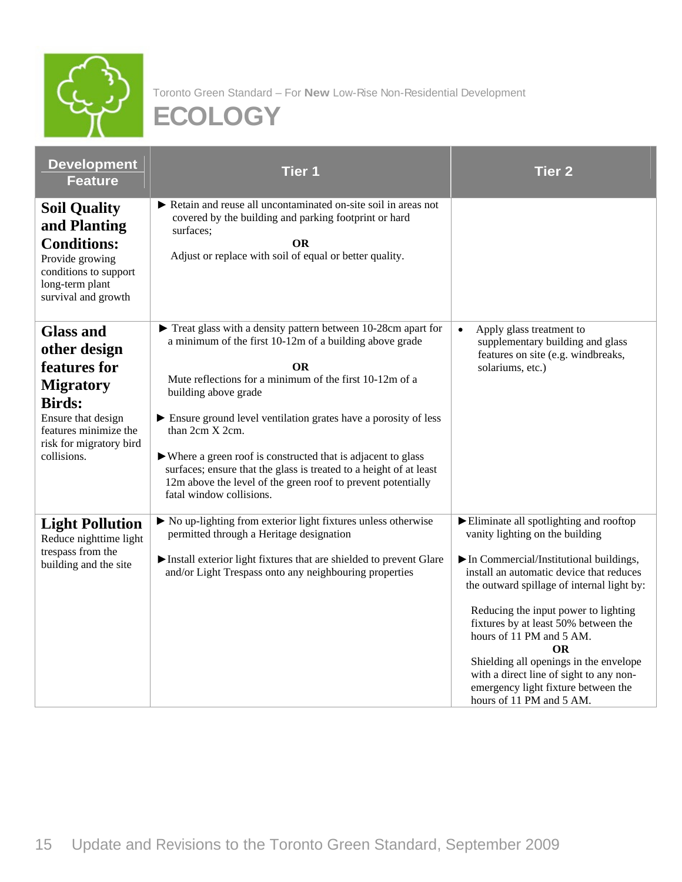

| <b>Development</b><br>Tier 1<br><b>Feature</b>                                                                                                                                                                                                                                                                                                                                                                                                                                                                                                                                                                                                                                                                                | Tier 2                                                                                                                                                                                                                                                                                                                                                                                                                                                                        |
|-------------------------------------------------------------------------------------------------------------------------------------------------------------------------------------------------------------------------------------------------------------------------------------------------------------------------------------------------------------------------------------------------------------------------------------------------------------------------------------------------------------------------------------------------------------------------------------------------------------------------------------------------------------------------------------------------------------------------------|-------------------------------------------------------------------------------------------------------------------------------------------------------------------------------------------------------------------------------------------------------------------------------------------------------------------------------------------------------------------------------------------------------------------------------------------------------------------------------|
| Retain and reuse all uncontaminated on-site soil in areas not<br><b>Soil Quality</b><br>covered by the building and parking footprint or hard<br>and Planting<br>surfaces;<br><b>Conditions:</b><br><b>OR</b><br>Adjust or replace with soil of equal or better quality.<br>Provide growing<br>conditions to support<br>long-term plant<br>survival and growth                                                                                                                                                                                                                                                                                                                                                                |                                                                                                                                                                                                                                                                                                                                                                                                                                                                               |
| Treat glass with a density pattern between 10-28cm apart for<br><b>Glass and</b><br>a minimum of the first 10-12m of a building above grade<br>other design<br>features for<br>OR<br>Mute reflections for a minimum of the first 10-12m of a<br><b>Migratory</b><br>building above grade<br><b>Birds:</b><br>Ensure ground level ventilation grates have a porosity of less<br>Ensure that design<br>than $2cm X 2cm$ .<br>features minimize the<br>risk for migratory bird<br>▶ Where a green roof is constructed that is adjacent to glass<br>collisions.<br>surfaces; ensure that the glass is treated to a height of at least<br>12m above the level of the green roof to prevent potentially<br>fatal window collisions. | $\bullet$ Apply glass treatment to<br>supplementary building and glass<br>features on site (e.g. windbreaks,<br>solariums, etc.)                                                                                                                                                                                                                                                                                                                                              |
| ▶ No up-lighting from exterior light fixtures unless otherwise<br><b>Light Pollution</b><br>permitted through a Heritage designation<br>Reduce nighttime light<br>trespass from the<br>Install exterior light fixtures that are shielded to prevent Glare<br>building and the site<br>and/or Light Trespass onto any neighbouring properties                                                                                                                                                                                                                                                                                                                                                                                  | Eliminate all spotlighting and rooftop<br>vanity lighting on the building<br>$\triangleright$ In Commercial/Institutional buildings,<br>install an automatic device that reduces<br>the outward spillage of internal light by:<br>Reducing the input power to lighting<br>fixtures by at least 50% between the<br>hours of 11 PM and 5 AM.<br>ΩD.<br>Shielding all openings in the envelope<br>with a direct line of sight to any non-<br>emergency light fixture between the |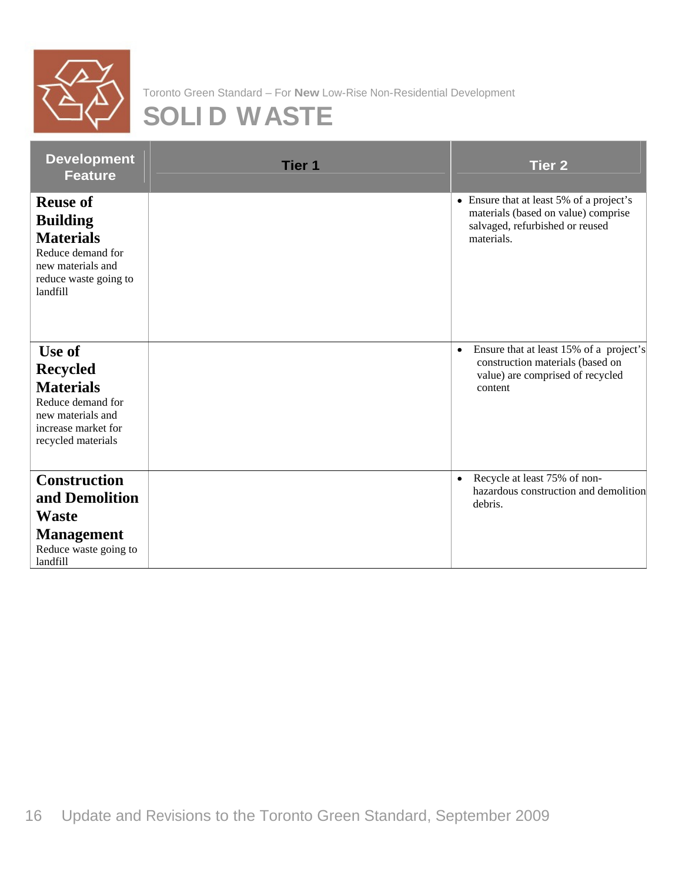

### **SOLI D WASTE**

| Development<br>Feature                                                                                                                | Tier 1 | Tier 2                                                                                                                           |
|---------------------------------------------------------------------------------------------------------------------------------------|--------|----------------------------------------------------------------------------------------------------------------------------------|
| <b>Reuse of</b><br><b>Building</b><br><b>Materials</b><br>Reduce demand for<br>new materials and<br>reduce waste going to<br>landfill |        | • Ensure that at least 5% of a project's<br>materials (based on value) comprise<br>salvaged, refurbished or reused<br>materials. |
| Use of<br><b>Recycled</b><br><b>Materials</b><br>Reduce demand for<br>new materials and<br>increase market for<br>recycled materials  |        | • Ensure that at least 15% of a project's<br>construction materials (based on<br>value) are comprised of recycled<br>content     |
| <b>Construction</b><br>and Demolition<br>Waste<br><b>Management</b><br>Reduce waste going to<br>landfill                              |        | • Recycle at least 75% of non-<br>hazardous construction and demolition<br>debris.                                               |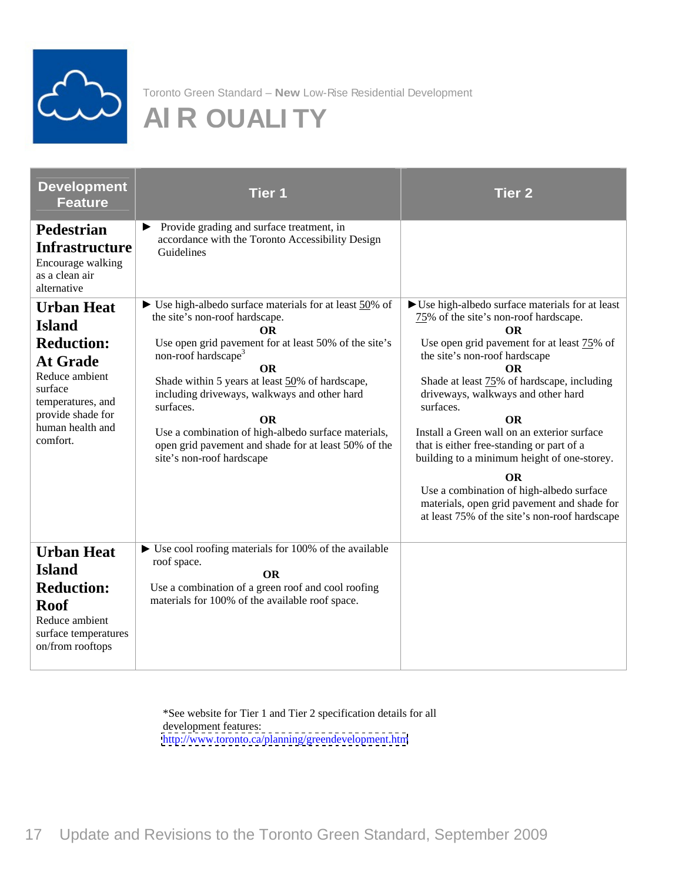

# **AI R QUALI TY**

| Development<br><b>Feature</b>                                                                                                                                                     | Tier 1                                                                                                                                                                                                                                                                                                                                                                                                                                                                                  | Tier 2                                                                                                                                                                                                                                                                                                                                                                                                                                                                                                                                                                                 |
|-----------------------------------------------------------------------------------------------------------------------------------------------------------------------------------|-----------------------------------------------------------------------------------------------------------------------------------------------------------------------------------------------------------------------------------------------------------------------------------------------------------------------------------------------------------------------------------------------------------------------------------------------------------------------------------------|----------------------------------------------------------------------------------------------------------------------------------------------------------------------------------------------------------------------------------------------------------------------------------------------------------------------------------------------------------------------------------------------------------------------------------------------------------------------------------------------------------------------------------------------------------------------------------------|
| Pedestrian<br><b>Infrastructure</b><br>Encourage walking<br>as a clean air<br>alternative                                                                                         | • Provide grading and surface treatment, in<br>accordance with the Toronto Accessibility Design<br>Guidelines                                                                                                                                                                                                                                                                                                                                                                           |                                                                                                                                                                                                                                                                                                                                                                                                                                                                                                                                                                                        |
| <b>Urban Heat</b><br><b>Island</b><br><b>Reduction:</b><br><b>At Grade</b><br>Reduce ambient<br>surface<br>temperatures, and<br>provide shade for<br>human health and<br>comfort. | $\triangleright$ Use high-albedo surface materials for at least $50\%$ of<br>the site's non-roof hardscape.<br>Use open grid pavement for at least 50% of the site's $\vert$<br>non-roof hardscape <sup>3</sup><br>$\Omega$<br>Shade within 5 years at least 50% of hardscape,<br>including driveways, walkways and other hard<br>surfaces.<br>Use a combination of high-albedo surface materials,<br>open grid pavement and shade for at least 50% of the<br>site's non-roof hardscape | $\triangleright$ Use high-albedo surface materials for at least<br>75% of the site's non-roof hardscape.<br>Use open grid pavement for at least 75% of<br>the site's non-roof hardscape<br>OR.<br>Shade at least 75% of hardscape, including<br>driveways, walkways and other hard<br>surfaces.<br>Install a Green wall on an exterior surface<br>that is either free-standing or part of a<br>building to a minimum height of one-storey.<br>Use a combination of high-albedo surface<br>materials, open grid pavement and shade for<br>at least 75% of the site's non-roof hardscape |
| <b>Urban Heat</b><br><b>Island</b><br><b>Reduction:</b><br><b>Roof</b><br>Reduce ambient<br>surface temperatures<br>on/from rooftops                                              | $\triangleright$ Use cool roofing materials for 100% of the available<br>roof space.<br>OΒ<br>Use a combination of a green roof and cool roofing<br>materials for 100% of the available roof space.                                                                                                                                                                                                                                                                                     |                                                                                                                                                                                                                                                                                                                                                                                                                                                                                                                                                                                        |

\*See website for Tier 1 and Tier 2 specification details for all development features: <http://www.toronto.ca/planning/greendevelopment.htm>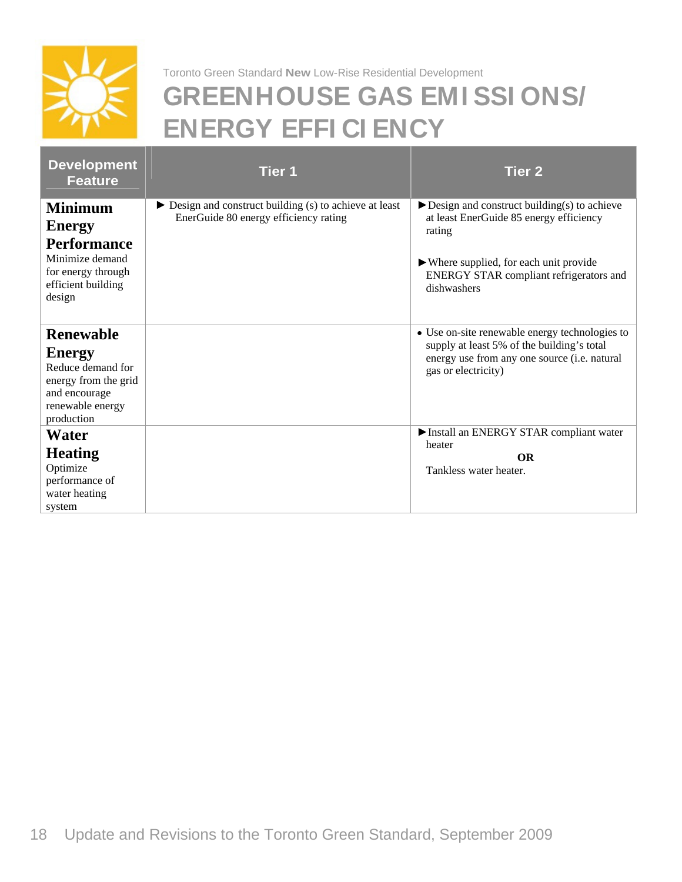

# **GREENHOUSE GAS EMI SSI ONS/ ENERGY EFFI CI ENCY**

| Development<br>Feature                                                                                                     | Tier 1                                                                                                          | Tier 2                                                                                                                                                              |
|----------------------------------------------------------------------------------------------------------------------------|-----------------------------------------------------------------------------------------------------------------|---------------------------------------------------------------------------------------------------------------------------------------------------------------------|
| <b>Minimum</b><br>Energy<br>Performance                                                                                    | $\triangleright$ Design and construct building (s) to achieve at least<br>EnerGuide 80 energy efficiency rating | $\blacktriangleright$ Design and construct building(s) to achieve<br>at least EnerGuide 85 energy efficiency<br>rating                                              |
| Minimize demand<br>for energy through<br>efficient building<br>design                                                      |                                                                                                                 | $\blacktriangleright$ Where supplied, for each unit provide<br>ENERGY STAR compliant refrigerators and<br>dishwashers                                               |
| Renewable<br><b>Energy</b><br>Reduce demand for<br>energy from the grid<br>and encourage<br>renewable energy<br>production |                                                                                                                 | • Use on-site renewable energy technologies to<br>supply at least 5% of the building's total<br>energy use from any one source (i.e. natural<br>gas or electricity) |
| Water<br><b>Heating</b><br>Optimize<br>performance of<br>water heating<br>system                                           |                                                                                                                 | Install an ENERGY STAR compliant water<br>heater<br>OR<br>Tankless water heater.                                                                                    |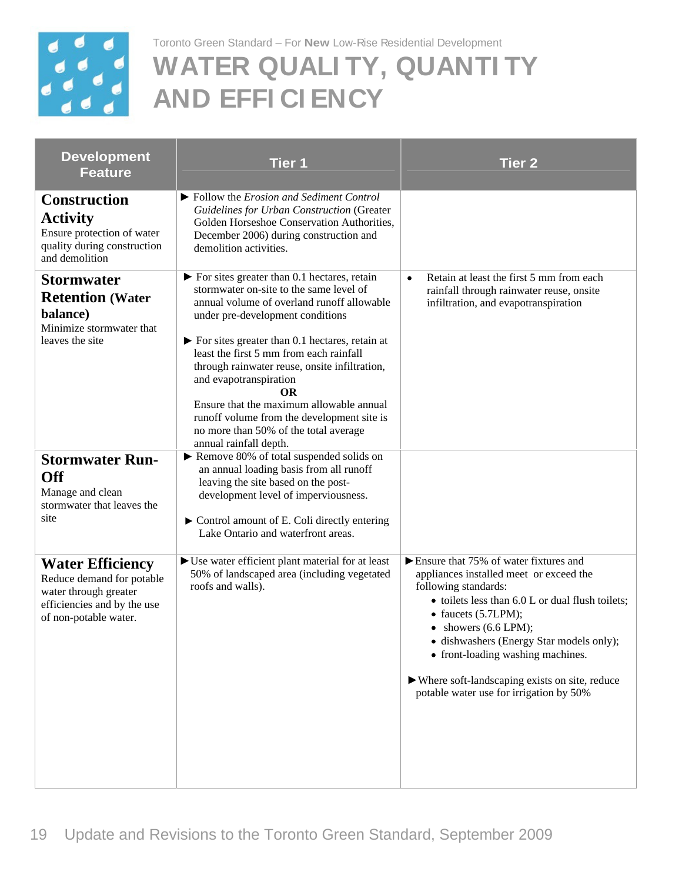

# **WATER QUALI TY, QUANTI TY AND EFFI CI ENCY**

| <b>Development</b><br>Feature                                                                                                         | Tier 1                                                                                                                                                                                                                                                                                                                                                                                                                                                                                                                                                            | Tier 2                                                                                                                                                                                                                                                                                                                                                                                                                                          |
|---------------------------------------------------------------------------------------------------------------------------------------|-------------------------------------------------------------------------------------------------------------------------------------------------------------------------------------------------------------------------------------------------------------------------------------------------------------------------------------------------------------------------------------------------------------------------------------------------------------------------------------------------------------------------------------------------------------------|-------------------------------------------------------------------------------------------------------------------------------------------------------------------------------------------------------------------------------------------------------------------------------------------------------------------------------------------------------------------------------------------------------------------------------------------------|
| <b>Construction</b><br><b>Activity</b><br>Ensure protection of water<br>quality during construction<br>and demolition                 | $\blacktriangleright$ Follow the Erosion and Sediment Control<br><b>Guidelines for Urban Construction (Greater</b><br>Golden Horseshoe Conservation Authorities,<br>December 2006) during construction and<br>demolition activities.                                                                                                                                                                                                                                                                                                                              |                                                                                                                                                                                                                                                                                                                                                                                                                                                 |
| <b>Stormwater</b><br><b>Retention (Water</b><br>balance)<br>Minimize stormwater that<br>leaves the site                               | $\triangleright$ For sites greater than 0.1 hectares, retain<br>stormwater on-site to the same level of<br>annual volume of overland runoff allowable<br>under pre-development conditions<br>$\blacktriangleright$ For sites greater than 0.1 hectares, retain at<br>least the first 5 mm from each rainfall<br>through rainwater reuse, onsite infiltration,<br>and evapotranspiration<br><b>OR</b><br>Ensure that the maximum allowable annual<br>runoff volume from the development site is<br>no more than 50% of the total average<br>annual rainfall depth. | $\bullet$ Retain at least the first 5 mm from each<br>rainfall through rainwater reuse, onsite<br>infiltration, and evapotranspiration                                                                                                                                                                                                                                                                                                          |
| <b>Stormwater Run-</b><br><b>Off</b><br>Manage and clean<br>stormwater that leaves the<br>site                                        | $\blacktriangleright$ Remove 80% of total suspended solids on<br>an annual loading basis from all runoff<br>leaving the site based on the post-<br>development level of imperviousness.<br>Control amount of E. Coli directly entering<br>Lake Ontario and waterfront areas.                                                                                                                                                                                                                                                                                      |                                                                                                                                                                                                                                                                                                                                                                                                                                                 |
| <b>Water Efficiency</b><br>Reduce demand for potable<br>water through greater<br>efficiencies and by the use<br>of non-potable water. | $\triangleright$ Use water efficient plant material for at least<br>50% of landscaped area (including vegetated<br>roofs and walls).                                                                                                                                                                                                                                                                                                                                                                                                                              | $\triangleright$ Ensure that 75% of water fixtures and<br>appliances installed meet or exceed the<br>following standards:<br>• toilets less than 6.0 L or dual flush toilets;<br>$\bullet$ faucets (5.7LPM);<br>$\bullet$ showers (6.6 LPM);<br>· dishwashers (Energy Star models only);<br>• front-loading washing machines.<br>$\blacktriangleright$ Where soft-landscaping exists on site, reduce<br>potable water use for irrigation by 50% |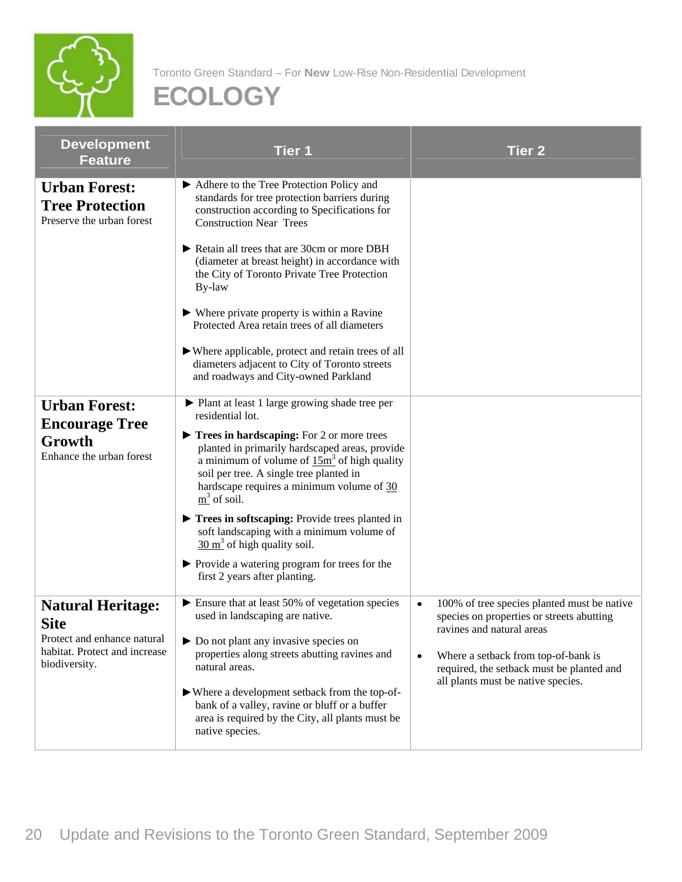

| <b>Development</b><br><b>Feature</b>                                                                                     | Tier 1                                                                                                                                                                                                                                                                                                                                                | Tier 2                                                                                                                                                       |
|--------------------------------------------------------------------------------------------------------------------------|-------------------------------------------------------------------------------------------------------------------------------------------------------------------------------------------------------------------------------------------------------------------------------------------------------------------------------------------------------|--------------------------------------------------------------------------------------------------------------------------------------------------------------|
| <b>Urban Forest:</b><br><b>Tree Protection</b><br>Preserve the urban forest                                              | Adhere to the Tree Protection Policy and<br>standards for tree protection barriers during<br>construction according to Specifications for<br><b>Construction Near Trees</b>                                                                                                                                                                           |                                                                                                                                                              |
|                                                                                                                          | Retain all trees that are 30cm or more DBH<br>(diameter at breast height) in accordance with<br>the City of Toronto Private Tree Protection<br>By-law                                                                                                                                                                                                 |                                                                                                                                                              |
|                                                                                                                          | $\blacktriangleright$ Where private property is within a Ravine<br>Protected Area retain trees of all diameters                                                                                                                                                                                                                                       |                                                                                                                                                              |
|                                                                                                                          | $\blacktriangleright$ Where applicable, protect and retain trees of all $\mid$<br>diameters adjacent to City of Toronto streets<br>and roadways and City-owned Parkland                                                                                                                                                                               |                                                                                                                                                              |
| <b>Urban Forest:</b><br><b>Encourage Tree</b><br>Growth<br>Enhance the urban forest                                      | ▶ Plant at least 1 large growing shade tree per<br>residential lot.<br>$\triangleright$ Trees in hardscaping: For 2 or more trees<br>planted in primarily hardscaped areas, provide<br>a minimum of volume of $15\text{m}^3$ of high quality<br>soil per tree. A single tree planted in<br>hardscape requires a minimum volume of 30<br>$m3$ of soil. |                                                                                                                                                              |
|                                                                                                                          | Trees in softscaping: Provide trees planted in<br>soft landscaping with a minimum volume of<br>$\frac{30 \text{ m}^3}{2}$ of high quality soil.<br>▶ Provide a watering program for trees for the<br>first 2 years after planting.                                                                                                                    |                                                                                                                                                              |
| <b>Natural Heritage:</b><br><b>Site</b><br>Protect and enhance natural<br>habitat. Protect and increase<br>biodiversity. | $\blacktriangleright$ Ensure that at least 50% of vegetation species<br>used in landscaping are native.<br>$\triangleright$ Do not plant any invasive species on<br>properties along streets abutting ravines and<br>natural areas.                                                                                                                   | 100% of tree species planted must be native<br>species on properties or streets abutting<br>ravines and natural areas<br>Where a setback from top-of-bank is |
|                                                                                                                          | ► Where a development setback from the top-of-<br>bank of a valley, ravine or bluff or a buffer<br>area is required by the City, all plants must be<br>native species.                                                                                                                                                                                | required, the setback must be planted and<br>all plants must be native species.                                                                              |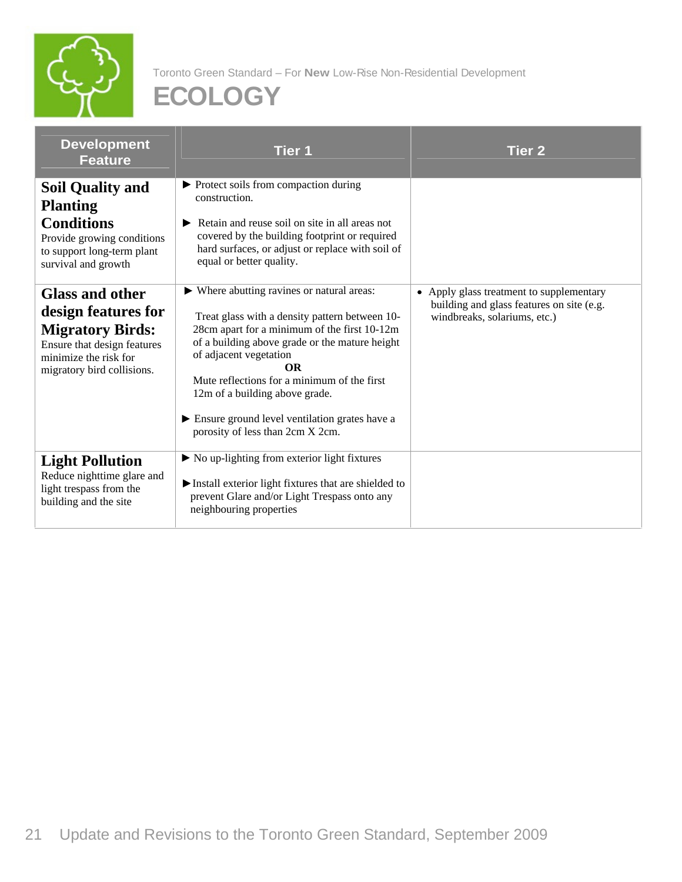

| <b>Development</b><br>Feature                                                                                                                                  | Tier 1                                                                                                                                                                                                                                                                                                                                                                                                      | Tier 2                                                                                                                |
|----------------------------------------------------------------------------------------------------------------------------------------------------------------|-------------------------------------------------------------------------------------------------------------------------------------------------------------------------------------------------------------------------------------------------------------------------------------------------------------------------------------------------------------------------------------------------------------|-----------------------------------------------------------------------------------------------------------------------|
| <b>Soil Quality and</b><br><b>Planting</b><br><b>Conditions</b><br>Provide growing conditions<br>to support long-term plant<br>survival and growth             | ▶ Protect soils from compaction during<br>construction.<br>Retain and reuse soil on site in all areas not<br>covered by the building footprint or required<br>hard surfaces, or adjust or replace with soil of<br>equal or better quality.                                                                                                                                                                  |                                                                                                                       |
| <b>Glass and other</b><br>design features for<br><b>Migratory Birds:</b><br>Ensure that design features<br>minimize the risk for<br>migratory bird collisions. | ▶ Where abutting ravines or natural areas:<br>Treat glass with a density pattern between 10-<br>28cm apart for a minimum of the first 10-12m<br>of a building above grade or the mature height<br>of adjacent vegetation<br><b>OR</b><br>Mute reflections for a minimum of the first<br>12m of a building above grade.<br>Ensure ground level ventilation grates have a<br>porosity of less than 2cm X 2cm. | • Apply glass treatment to supplementary<br>building and glass features on site (e.g.<br>windbreaks, solariums, etc.) |
| <b>Light Pollution</b><br>Reduce nighttime glare and<br>light trespass from the<br>building and the site                                                       | $\triangleright$ No up-lighting from exterior light fixtures<br>$\blacktriangleright$ Install exterior light fixtures that are shielded to $\vert$<br>prevent Glare and/or Light Trespass onto any<br>neighbouring properties                                                                                                                                                                               |                                                                                                                       |